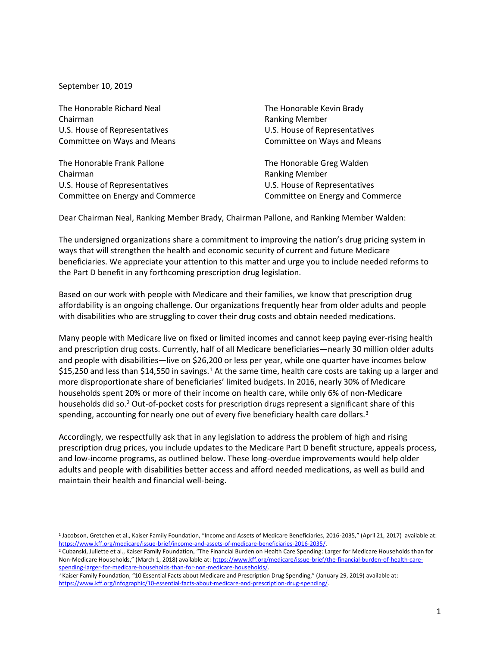September 10, 2019

The Honorable Richard Neal The Honorable Kevin Brady Chairman Ranking Member U.S. House of Representatives U.S. House of Representatives

The Honorable Frank Pallone The Honorable Greg Walden Chairman **Chairman** Ranking Member U.S. House of Representatives **U.S. House of Representatives** Committee on Energy and Commerce Committee on Energy and Commerce

Committee on Ways and Means Committee on Ways and Means

Dear Chairman Neal, Ranking Member Brady, Chairman Pallone, and Ranking Member Walden:

The undersigned organizations share a commitment to improving the nation's drug pricing system in ways that will strengthen the health and economic security of current and future Medicare beneficiaries. We appreciate your attention to this matter and urge you to include needed reforms to the Part D benefit in any forthcoming prescription drug legislation.

Based on our work with people with Medicare and their families, we know that prescription drug affordability is an ongoing challenge. Our organizations frequently hear from older adults and people with disabilities who are struggling to cover their drug costs and obtain needed medications.

Many people with Medicare live on fixed or limited incomes and cannot keep paying ever-rising health and prescription drug costs. Currently, half of all Medicare beneficiaries—nearly 30 million older adults and people with disabilities—live on \$26,200 or less per year, while one quarter have incomes below \$15,250 and less than \$14,550 in savings.<sup>1</sup> At the same time, health care costs are taking up a larger and more disproportionate share of beneficiaries' limited budgets. In 2016, nearly 30% of Medicare households spent 20% or more of their income on health care, while only 6% of non-Medicare households did so.<sup>2</sup> Out-of-pocket costs for prescription drugs represent a significant share of this spending, accounting for nearly one out of every five beneficiary health care dollars.<sup>3</sup>

Accordingly, we respectfully ask that in any legislation to address the problem of high and rising prescription drug prices, you include updates to the Medicare Part D benefit structure, appeals process, and low-income programs, as outlined below. These long-overdue improvements would help older adults and people with disabilities better access and afford needed medications, as well as build and maintain their health and financial well-being.

<sup>&</sup>lt;sup>1</sup> Jacobson, Gretchen et al., Kaiser Family Foundation, "Income and Assets of Medicare Beneficiaries, 2016-2035," (April 21, 2017) available at: [https://www.kff.org/medicare/issue-brief/income-and-assets-of-medicare-beneficiaries-2016-2035/.](https://www.kff.org/medicare/issue-brief/income-and-assets-of-medicare-beneficiaries-2016-2035/)

 $^2$  Cubanski, Juliette et al., Kaiser Family Foundation, "The Financial Burden on Health Care Spending: Larger for Medicare Households than for Non-Medicare Households," (March 1, 2018) available at: [https://www.kff.org/medicare/issue-brief/the-financial-burden-of-health-care](https://www.kff.org/medicare/issue-brief/the-financial-burden-of-health-care-spending-larger-for-medicare-households-than-for-non-medicare-households/)[spending-larger-for-medicare-households-than-for-non-medicare-households/.](https://www.kff.org/medicare/issue-brief/the-financial-burden-of-health-care-spending-larger-for-medicare-households-than-for-non-medicare-households/)

<sup>&</sup>lt;sup>3</sup> Kaiser Family Foundation, "10 Essential Facts about Medicare and Prescription Drug Spending," (January 29, 2019) available at: [https://www.kff.org/infographic/10-essential-facts-about-medicare-and-prescription-drug-spending/.](https://www.kff.org/infographic/10-essential-facts-about-medicare-and-prescription-drug-spending/)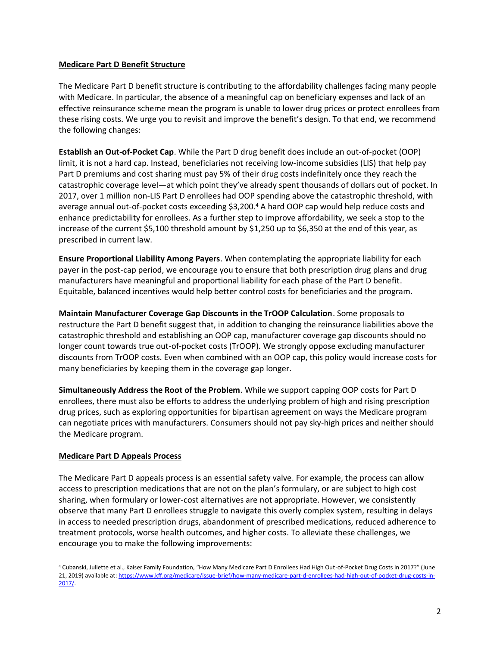## **Medicare Part D Benefit Structure**

The Medicare Part D benefit structure is contributing to the affordability challenges facing many people with Medicare. In particular, the absence of a meaningful cap on beneficiary expenses and lack of an effective reinsurance scheme mean the program is unable to lower drug prices or protect enrollees from these rising costs. We urge you to revisit and improve the benefit's design. To that end, we recommend the following changes:

**Establish an Out-of-Pocket Cap**. While the Part D drug benefit does include an out-of-pocket (OOP) limit, it is not a hard cap. Instead, beneficiaries not receiving low-income subsidies (LIS) that help pay Part D premiums and cost sharing must pay 5% of their drug costs indefinitely once they reach the catastrophic coverage level—at which point they've already spent thousands of dollars out of pocket. In 2017, over 1 million non-LIS Part D enrollees had OOP spending above the catastrophic threshold, with average annual out-of-pocket costs exceeding \$3,200. <sup>4</sup> A hard OOP cap would help reduce costs and enhance predictability for enrollees. As a further step to improve affordability, we seek a stop to the increase of the current \$5,100 threshold amount by \$1,250 up to \$6,350 at the end of this year, as prescribed in current law.

**Ensure Proportional Liability Among Payers**. When contemplating the appropriate liability for each payer in the post-cap period, we encourage you to ensure that both prescription drug plans and drug manufacturers have meaningful and proportional liability for each phase of the Part D benefit. Equitable, balanced incentives would help better control costs for beneficiaries and the program.

**Maintain Manufacturer Coverage Gap Discounts in the TrOOP Calculation**. Some proposals to restructure the Part D benefit suggest that, in addition to changing the reinsurance liabilities above the catastrophic threshold and establishing an OOP cap, manufacturer coverage gap discounts should no longer count towards true out-of-pocket costs (TrOOP). We strongly oppose excluding manufacturer discounts from TrOOP costs. Even when combined with an OOP cap, this policy would increase costs for many beneficiaries by keeping them in the coverage gap longer.

**Simultaneously Address the Root of the Problem**. While we support capping OOP costs for Part D enrollees, there must also be efforts to address the underlying problem of high and rising prescription drug prices, such as exploring opportunities for bipartisan agreement on ways the Medicare program can negotiate prices with manufacturers. Consumers should not pay sky-high prices and neither should the Medicare program.

## **Medicare Part D Appeals Process**

The Medicare Part D appeals process is an essential safety valve. For example, the process can allow access to prescription medications that are not on the plan's formulary, or are subject to high cost sharing, when formulary or lower-cost alternatives are not appropriate. However, we consistently observe that many Part D enrollees struggle to navigate this overly complex system, resulting in delays in access to needed prescription drugs, abandonment of prescribed medications, reduced adherence to treatment protocols, worse health outcomes, and higher costs. To alleviate these challenges, we encourage you to make the following improvements:

<sup>4</sup> Cubanski, Juliette et al., Kaiser Family Foundation, "How Many Medicare Part D Enrollees Had High Out-of-Pocket Drug Costs in 2017?" (June 21, 2019) available at[: https://www.kff.org/medicare/issue-brief/how-many-medicare-part-d-enrollees-had-high-out-of-pocket-drug-costs-in-](https://www.kff.org/medicare/issue-brief/how-many-medicare-part-d-enrollees-had-high-out-of-pocket-drug-costs-in-2017/)[2017/.](https://www.kff.org/medicare/issue-brief/how-many-medicare-part-d-enrollees-had-high-out-of-pocket-drug-costs-in-2017/)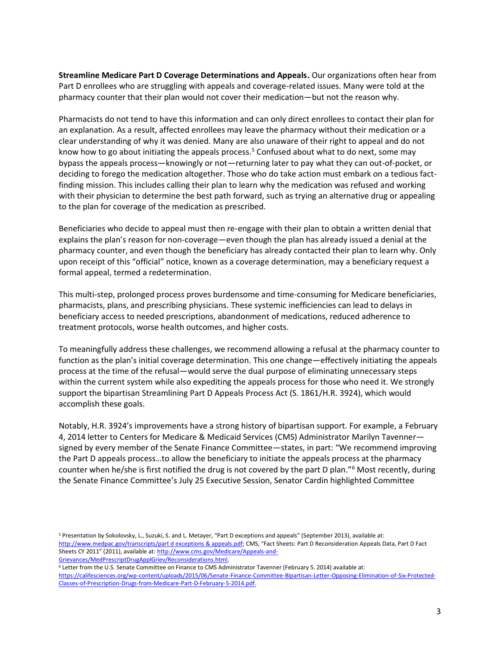**Streamline Medicare Part D Coverage Determinations and Appeals.** Our organizations often hear from Part D enrollees who are struggling with appeals and coverage-related issues. Many were told at the pharmacy counter that their plan would not cover their medication—but not the reason why.

Pharmacists do not tend to have this information and can only direct enrollees to contact their plan for an explanation. As a result, affected enrollees may leave the pharmacy without their medication or a clear understanding of why it was denied. Many are also unaware of their right to appeal and do not know how to go about initiating the appeals process.<sup>5</sup> Confused about what to do next, some may bypass the appeals process—knowingly or not—returning later to pay what they can out-of-pocket, or deciding to forego the medication altogether. Those who do take action must embark on a tedious factfinding mission. This includes calling their plan to learn why the medication was refused and working with their physician to determine the best path forward, such as trying an alternative drug or appealing to the plan for coverage of the medication as prescribed.

Beneficiaries who decide to appeal must then re-engage with their plan to obtain a written denial that explains the plan's reason for non-coverage—even though the plan has already issued a denial at the pharmacy counter, and even though the beneficiary has already contacted their plan to learn why. Only upon receipt of this "official" notice, known as a coverage determination, may a beneficiary request a formal appeal, termed a redetermination.

This multi-step, prolonged process proves burdensome and time-consuming for Medicare beneficiaries, pharmacists, plans, and prescribing physicians. These systemic inefficiencies can lead to delays in beneficiary access to needed prescriptions, abandonment of medications, reduced adherence to treatment protocols, worse health outcomes, and higher costs.

To meaningfully address these challenges, we recommend allowing a refusal at the pharmacy counter to function as the plan's initial coverage determination. This one change—effectively initiating the appeals process at the time of the refusal—would serve the dual purpose of eliminating unnecessary steps within the current system while also expediting the appeals process for those who need it. We strongly support the bipartisan Streamlining Part D Appeals Process Act (S. 1861/H.R. 3924), which would accomplish these goals.

Notably, H.R. 3924's improvements have a strong history of bipartisan support. For example, a February 4, 2014 letter to Centers for Medicare & Medicaid Services (CMS) Administrator Marilyn Tavenner signed by every member of the Senate Finance Committee—states, in part: "We recommend improving the Part D appeals process…to allow the beneficiary to initiate the appeals process at the pharmacy counter when he/she is first notified the drug is not covered by the part D plan."<sup>6</sup> Most recently, during the Senate Finance Committee's July 25 Executive Session, Senator Cardin highlighted Committee

<sup>6</sup> Letter from the U.S. Senate Committee on Finance to CMS Administrator Tavenner (February 5. 2014) available at:

[https://califesciences.org/wp-content/uploads/2015/06/Senate-Finance-Committee-Bipartisan-Letter-Opposing-Elimination-of-Six-Protected-](https://califesciences.org/wp-content/uploads/2015/06/Senate-Finance-Committee-Bipartisan-Letter-Opposing-Elimination-of-Six-Protected-Classes-of-Prescription-Drugs-from-Medicare-Part-D-February-5-2014.pdf)[Classes-of-Prescription-Drugs-from-Medicare-Part-D-February-5-2014.pdf.](https://califesciences.org/wp-content/uploads/2015/06/Senate-Finance-Committee-Bipartisan-Letter-Opposing-Elimination-of-Six-Protected-Classes-of-Prescription-Drugs-from-Medicare-Part-D-February-5-2014.pdf)

<sup>5</sup> Presentation by Sokolovsky, L., Suzuki, S. and L. Metayer, "Part D exceptions and appeals" (September 2013), available at: [http://www.medpac.gov/transcripts/part d exceptions & appeals.pdf](http://www.medpac.gov/transcripts/part%20d%20exceptions%20&%20appeals.pdf); CMS, "Fact Sheets: Part D Reconsideration Appeals Data, Part D Fact Sheets CY 2011" (2011), available at: [http://www.cms.gov/Medicare/Appeals-and-](http://www.cms.gov/Medicare/Appeals-and-%20Grievances/MedPrescriptDrugApplGriev/Reconsiderations.html)[Grievances/MedPrescriptDrugApplGriev/Reconsiderations.html.](http://www.cms.gov/Medicare/Appeals-and-%20Grievances/MedPrescriptDrugApplGriev/Reconsiderations.html)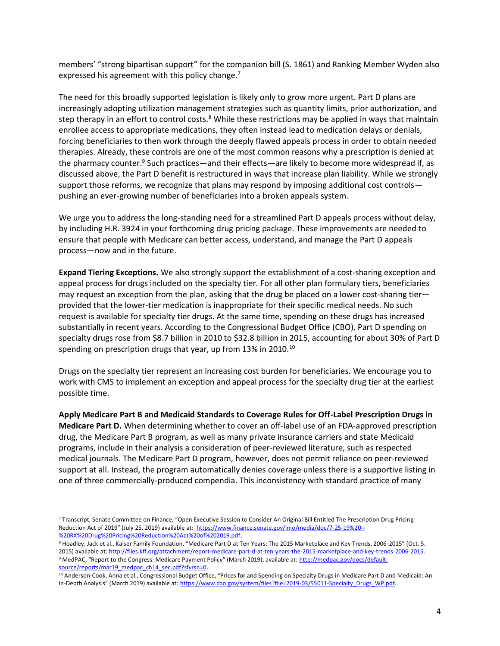members' "strong bipartisan support" for the companion bill (S. 1861) and Ranking Member Wyden also expressed his agreement with this policy change.<sup>7</sup>

The need for this broadly supported legislation is likely only to grow more urgent. Part D plans are increasingly adopting utilization management strategies such as quantity limits, prior authorization, and step therapy in an effort to control costs.<sup>8</sup> While these restrictions may be applied in ways that maintain enrollee access to appropriate medications, they often instead lead to medication delays or denials, forcing beneficiaries to then work through the deeply flawed appeals process in order to obtain needed therapies. Already, these controls are one of the most common reasons why a prescription is denied at the pharmacy counter.<sup>9</sup> Such practices—and their effects—are likely to become more widespread if, as discussed above, the Part D benefit is restructured in ways that increase plan liability. While we strongly support those reforms, we recognize that plans may respond by imposing additional cost controls pushing an ever-growing number of beneficiaries into a broken appeals system.

We urge you to address the long-standing need for a streamlined Part D appeals process without delay, by including H.R. 3924 in your forthcoming drug pricing package. These improvements are needed to ensure that people with Medicare can better access, understand, and manage the Part D appeals process—now and in the future.

**Expand Tiering Exceptions.** We also strongly support the establishment of a cost-sharing exception and appeal process for drugs included on the specialty tier. For all other plan formulary tiers, beneficiaries may request an exception from the plan, asking that the drug be placed on a lower cost-sharing tier provided that the lower-tier medication is inappropriate for their specific medical needs. No such request is available for specialty tier drugs. At the same time, spending on these drugs has increased substantially in recent years. According to the Congressional Budget Office (CBO), Part D spending on specialty drugs rose from \$8.7 billion in 2010 to \$32.8 billion in 2015, accounting for about 30% of Part D spending on prescription drugs that year, up from 13% in 2010.<sup>10</sup>

Drugs on the specialty tier represent an increasing cost burden for beneficiaries. We encourage you to work with CMS to implement an exception and appeal process for the specialty drug tier at the earliest possible time.

**Apply Medicare Part B and Medicaid Standards to Coverage Rules for Off-Label Prescription Drugs in Medicare Part D.** When determining whether to cover an off-label use of an FDA-approved prescription drug, the Medicare Part B program, as well as many private insurance carriers and state Medicaid programs, include in their analysis a consideration of peer-reviewed literature, such as respected medical journals. The Medicare Part D program, however, does not permit reliance on peer-reviewed support at all. Instead, the program automatically denies coverage unless there is a supportive listing in one of three commercially-produced compendia. This inconsistency with standard practice of many

<sup>7</sup> Transcript, Senate Committee on Finance, "Open Executive Session to Consider An Original Bill Entitled The Prescription Drug Pricing Reduction Act of 2019" (July 25, 2019) available at: [https://www.finance.senate.gov/imo/media/doc/7-25-19%20--](https://www.finance.senate.gov/imo/media/doc/7-25-19%20--%20RX%20Drug%20Pricing%20Reduction%20Act%20of%202019.pdf) [%20RX%20Drug%20Pricing%20Reduction%20Act%20of%202019.pdf.](https://www.finance.senate.gov/imo/media/doc/7-25-19%20--%20RX%20Drug%20Pricing%20Reduction%20Act%20of%202019.pdf)

<sup>&</sup>lt;sup>8</sup> Hoadley, Jack et al., Kaiser Family Foundation, "Medicare Part D at Ten Years: The 2015 Marketplace and Key Trends, 2006-2015" (Oct. 5. 2015) available at[: http://files.kff.org/attachment/report-medicare-part-d-at-ten-years-the-2015-marketplace-and-key-trends-2006-2015.](http://files.kff.org/attachment/report-medicare-part-d-at-ten-years-the-2015-marketplace-and-key-trends-2006-2015) <sup>9</sup> MedPAC, "Report to the Congress: Medicare Payment Policy" (March 2019), available at: [http://medpac.gov/docs/default](http://medpac.gov/docs/default-source/reports/mar19_medpac_ch14_sec.pdf?sfvrsn=0)[source/reports/mar19\\_medpac\\_ch14\\_sec.pdf?sfvrsn=0.](http://medpac.gov/docs/default-source/reports/mar19_medpac_ch14_sec.pdf?sfvrsn=0)

<sup>&</sup>lt;sup>10</sup> Anderson-Cook, Anna et al., Congressional Budget Office, "Prices for and Spending on Specialty Drugs in Medicare Part D and Medicaid: An In-Depth Analysis" (March 2019) available at: [https://www.cbo.gov/system/files?file=2019-03/55011-Specialty\\_Drugs\\_WP.pdf.](https://www.cbo.gov/system/files?file=2019-03/55011-Specialty_Drugs_WP.pdf)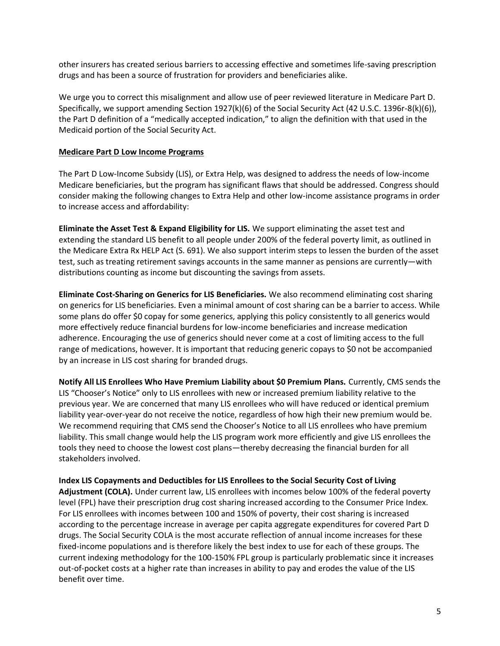other insurers has created serious barriers to accessing effective and sometimes life-saving prescription drugs and has been a source of frustration for providers and beneficiaries alike.

We urge you to correct this misalignment and allow use of peer reviewed literature in Medicare Part D. Specifically, we support amending Section 1927(k)(6) of the Social Security Act (42 U.S.C. 1396r-8(k)(6)), the Part D definition of a "medically accepted indication," to align the definition with that used in the Medicaid portion of the Social Security Act.

## **Medicare Part D Low Income Programs**

The Part D Low-Income Subsidy (LIS), or Extra Help, was designed to address the needs of low-income Medicare beneficiaries, but the program has significant flaws that should be addressed. Congress should consider making the following changes to Extra Help and other low-income assistance programs in order to increase access and affordability:

**Eliminate the Asset Test & Expand Eligibility for LIS.** We support eliminating the asset test and extending the standard LIS benefit to all people under 200% of the federal poverty limit, as outlined in the Medicare Extra Rx HELP Act (S. 691). We also support interim steps to lessen the burden of the asset test, such as treating retirement savings accounts in the same manner as pensions are currently—with distributions counting as income but discounting the savings from assets.

**Eliminate Cost-Sharing on Generics for LIS Beneficiaries.** We also recommend eliminating cost sharing on generics for LIS beneficiaries. Even a minimal amount of cost sharing can be a barrier to access. While some plans do offer \$0 copay for some generics, applying this policy consistently to all generics would more effectively reduce financial burdens for low-income beneficiaries and increase medication adherence. Encouraging the use of generics should never come at a cost of limiting access to the full range of medications, however. It is important that reducing generic copays to \$0 not be accompanied by an increase in LIS cost sharing for branded drugs.

**Notify All LIS Enrollees Who Have Premium Liability about \$0 Premium Plans.** Currently, CMS sends the LIS "Chooser's Notice" only to LIS enrollees with new or increased premium liability relative to the previous year. We are concerned that many LIS enrollees who will have reduced or identical premium liability year-over-year do not receive the notice, regardless of how high their new premium would be. We recommend requiring that CMS send the Chooser's Notice to all LIS enrollees who have premium liability. This small change would help the LIS program work more efficiently and give LIS enrollees the tools they need to choose the lowest cost plans—thereby decreasing the financial burden for all stakeholders involved.

**Index LIS Copayments and Deductibles for LIS Enrollees to the Social Security Cost of Living Adjustment (COLA).** Under current law, LIS enrollees with incomes below 100% of the federal poverty level (FPL) have their prescription drug cost sharing increased according to the Consumer Price Index. For LIS enrollees with incomes between 100 and 150% of poverty, their cost sharing is increased according to the percentage increase in average per capita aggregate expenditures for covered Part D drugs. The Social Security COLA is the most accurate reflection of annual income increases for these fixed-income populations and is therefore likely the best index to use for each of these groups. The current indexing methodology for the 100-150% FPL group is particularly problematic since it increases out-of-pocket costs at a higher rate than increases in ability to pay and erodes the value of the LIS benefit over time.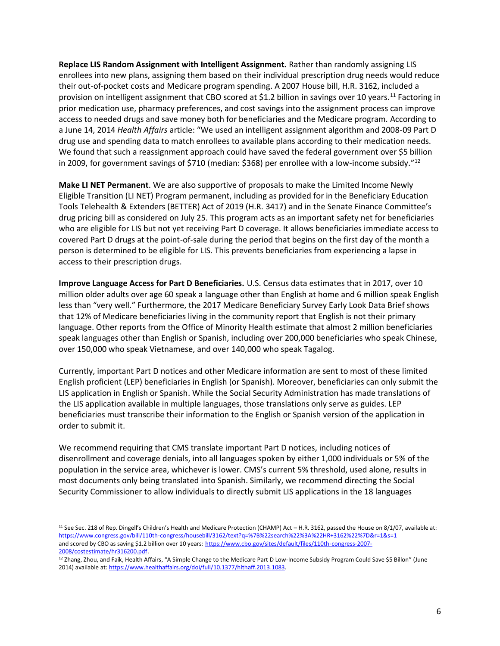**Replace LIS Random Assignment with Intelligent Assignment.** Rather than randomly assigning LIS enrollees into new plans, assigning them based on their individual prescription drug needs would reduce their out-of-pocket costs and Medicare program spending. A 2007 House bill, H.R. 3162, included a provision on intelligent assignment that CBO scored at \$1.2 billion in savings over 10 years.<sup>11</sup> Factoring in prior medication use, pharmacy preferences, and cost savings into the assignment process can improve access to needed drugs and save money both for beneficiaries and the Medicare program. According to a June 14, 2014 *Health Affairs* article: "We used an intelligent assignment algorithm and 2008-09 Part D drug use and spending data to match enrollees to available plans according to their medication needs. We found that such a reassignment approach could have saved the federal government over \$5 billion in 2009, for government savings of \$710 (median: \$368) per enrollee with a low-income subsidy."<sup>12</sup>

**Make LI NET Permanent**. We are also supportive of proposals to make the Limited Income Newly Eligible Transition (LI NET) Program permanent, including as provided for in the Beneficiary Education Tools Telehealth & Extenders (BETTER) Act of 2019 (H.R. 3417) and in the Senate Finance Committee's drug pricing bill as considered on July 25. This program acts as an important safety net for beneficiaries who are eligible for LIS but not yet receiving Part D coverage. It allows beneficiaries immediate access to covered Part D drugs at the point-of-sale during the period that begins on the first day of the month a person is determined to be eligible for LIS. This prevents beneficiaries from experiencing a lapse in access to their prescription drugs.

**Improve Language Access for Part D Beneficiaries.** U.S. Census data estimates that in 2017, over 10 million older adults over age 60 speak a language other than English at home and 6 million speak English less than "very well." Furthermore, the 2017 Medicare Beneficiary Survey Early Look Data Brief shows that 12% of Medicare beneficiaries living in the community report that English is not their primary language. Other reports from the Office of Minority Health estimate that almost 2 million beneficiaries speak languages other than English or Spanish, including over 200,000 beneficiaries who speak Chinese, over 150,000 who speak Vietnamese, and over 140,000 who speak Tagalog.

Currently, important Part D notices and other Medicare information are sent to most of these limited English proficient (LEP) beneficiaries in English (or Spanish). Moreover, beneficiaries can only submit the LIS application in English or Spanish. While the Social Security Administration has made translations of the LIS application available in multiple languages, those translations only serve as guides. LEP beneficiaries must transcribe their information to the English or Spanish version of the application in order to submit it.

We recommend requiring that CMS translate important Part D notices, including notices of disenrollment and coverage denials, into all languages spoken by either 1,000 individuals or 5% of the population in the service area, whichever is lower. CMS's current 5% threshold, used alone, results in most documents only being translated into Spanish. Similarly, we recommend directing the Social Security Commissioner to allow individuals to directly submit LIS applications in the 18 languages

<sup>&</sup>lt;sup>11</sup> See Sec. 218 of Rep. Dingell's Children's Health and Medicare Protection (CHAMP) Act – H.R. 3162, passed the House on 8/1/07, available at: <https://www.congress.gov/bill/110th-congress/housebill/3162/text?q=%7B%22search%22%3A%22HR+3162%22%7D&r=1&s=1> and scored by CBO as saving \$1.2 billion over 10 years[: https://www.cbo.gov/sites/default/files/110th-congress-2007-](https://www.cbo.gov/sites/default/files/110th-congress-2007-2008/costestimate/hr316200.pdf) [2008/costestimate/hr316200.pdf.](https://www.cbo.gov/sites/default/files/110th-congress-2007-2008/costestimate/hr316200.pdf)

<sup>&</sup>lt;sup>12</sup> Zhang, Zhou, and Faik, Health Affairs, "A Simple Change to the Medicare Part D Low-Income Subsidy Program Could Save \$5 Billon" (June 2014) available at[: https://www.healthaffairs.org/doi/full/10.1377/hlthaff.2013.1083.](https://www.healthaffairs.org/doi/full/10.1377/hlthaff.2013.1083)